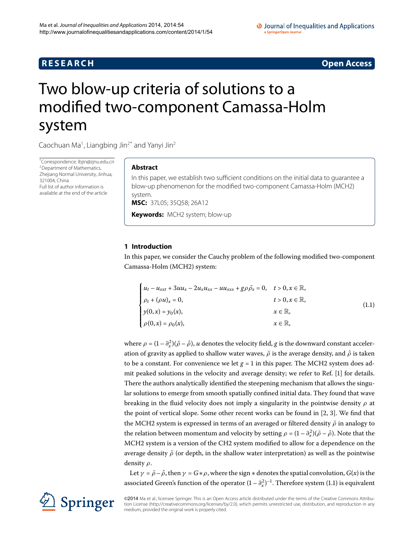## **R E S E A R C H Open Access**

#### O Journal of Inequalities and Applications a SpringerOpen Journal

# <span id="page-0-0"></span>Two blow-up criteria of solutions to a modified two-component Camassa-Holm system

Caochuan Ma<sup>1</sup>, Liangbing Jin<sup>[2](#page-18-1)[\\*](#page-0-0)</sup> and Yanyi Jin<sup>2</sup>

\* Correspondence: [lbjin@zjnu.edu.cn](mailto:lbjin@zjnu.edu.cn) [2](#page-18-1)Department of Mathematics, Zhejiang Normal University, Jinhua, 321004, China Full list of author information is available at the end of the article

### **Abstract**

In this paper, we establish two sufficient conditions on the initial data to guarantee a blow-up phenomenon for the modified two-component Camassa-Holm (MCH2) system.

**MSC:** 37L05; 35Q58; 26A12

**Keywords:** MCH2 system; blow-up

### **1 Introduction**

In this paper, we consider the Cauchy problem of the following modified two-component Camassa-Holm (MCH2) system:

<span id="page-0-1"></span>
$$
\begin{cases}\n u_t - u_{xxt} + 3uu_x - 2u_x u_{xx} - uu_{xxx} + g\rho \bar{\rho}_x = 0, & t > 0, x \in \mathbb{R}, \\
 \rho_t + (\rho u)_x = 0, & t > 0, x \in \mathbb{R}, \\
 y(0, x) = y_0(x), & x \in \mathbb{R}, \\
 \rho(0, x) = \rho_0(x), & x \in \mathbb{R}, \\
 \end{cases}
$$
\n(1.1)

where  $\rho = (1 - \partial_x^2)(\bar{\rho} - \hat{\rho})$ , *u* denotes the velocity field, *g* is the downward constant acceleration of gravity as applied to shallow water waves,  $\bar{\rho}$  is the average density, and  $\hat{\rho}$  is taken to be a constant. For convenience we let  $g = 1$  in this paper. The MCH2 system does admit peaked solutions in the velocity and average density; we refer to Ref. [\[](#page-18-2)] for details. There the authors analytically identified the steepening mechanism that allows the singular solutions to emerge from smooth spatially confined initial data. They found that wave breaking in the fluid velocity does not imply a singularity in the pointwise density *ρ* at the point of vertical slope. Some other recent works can be found in  $[2, 3]$  $[2, 3]$  $[2, 3]$  $[2, 3]$ . We find that the MCH2 system is expressed in terms of an averaged or filtered density  $\bar{\rho}$  in analogy to the relation between momentum and velocity by setting  $\rho = (1 - \partial_x^2)(\bar{\rho} - \hat{\rho})$ . Note that the MCH2 system is a version of the CH2 system modified to allow for a dependence on the average density  $\bar{\rho}$  (or depth, in the shallow water interpretation) as well as the pointwise density *ρ*.

Let  $\gamma = \bar{\rho} - \hat{\rho}$ , then  $\gamma = G * \rho$ , where the sign  $*$  denotes the spatial convolution,  $G(x)$  is the associated Green's function of the operator  $(1 - \partial_x^2)^{-1}$ . Therefore system (1.1) is equivalent

©2014 Ma et al.; licensee Springer. This is an Open Access article distributed under the terms of the Creative Commons Attribution License ([http://creativecommons.org/licenses/by/2.0\)](http://creativecommons.org/licenses/by/2.0), which permits unrestricted use, distribution, and reproduction in any medium, provided the original work is properly cited.

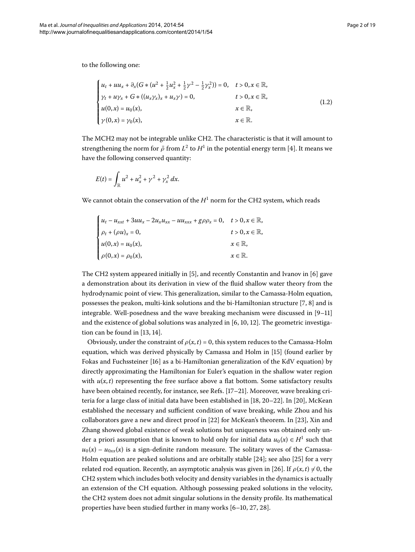to the following one:

<span id="page-1-0"></span>
$$
\begin{cases}\n u_t + u u_x + \partial_x (G * (u^2 + \frac{1}{2} u_x^2 + \frac{1}{2} \gamma^2 - \frac{1}{2} \gamma_x^2)) = 0, & t > 0, x \in \mathbb{R}, \\
 \gamma_t + u \gamma_x + G * ((u_x \gamma_x)_x + u_x \gamma) = 0, & t > 0, x \in \mathbb{R}, \\
 u(0, x) = u_0(x), & x \in \mathbb{R}, \\
 \gamma(0, x) = \gamma_0(x), & x \in \mathbb{R}.\n\end{cases}
$$
\n(1.2)

The MCH2 may not be integrable unlike CH2. The characteristic is that it will amount to strengthening the norm for  $\bar{\rho}$  from  $L^2$  to  $H^1$  in the potential energy term [4]. It means we have the following conserved quantity:

$$
E(t) = \int_{\mathbb{R}} u^2 + u_x^2 + \gamma^2 + \gamma_x^2 dx.
$$

We cannot obtain the conservation of the  $H<sup>1</sup>$  norm for the CH2 system, which reads

| $\begin{cases} u_t - u_{xxt} + 3uu_x - 2u_xu_{xx} - uu_{xxx} + g\rho\rho_x = 0, \quad t > 0, x \in \mathbb{R}, \end{cases}$ |                             |
|-----------------------------------------------------------------------------------------------------------------------------|-----------------------------|
| $\rho_t + (\rho u)_x = 0,$                                                                                                  | $t > 0, x \in \mathbb{R}$ , |
| $u(0, x) = u_0(x),$                                                                                                         | $x \in \mathbb{R}$ ,        |
| $\rho(0, x) = \rho_0(x),$                                                                                                   | $x \in \mathbb{R}$ .        |

The CH2 system appeared initially in  $[5]$  $[5]$ , and recently Constantin and Ivanov in  $[6]$  gave a demonstration about its derivation in view of the fluid shallow water theory from the hydrodynamic point of view. This generalization, similar to the Camassa-Holm equation, possesses the peakon, multi-kink solutions and the bi-Hamiltonian structure  $[7, 8]$  $[7, 8]$  $[7, 8]$  and is integrable. Well-posedness and the wave breaking mechanism were discussed in  $[9-11]$ and the existence of global solutions was analyzed in  $[6, 10, 12]$  $[6, 10, 12]$  $[6, 10, 12]$ . The geometric investigation can be found in  $[13, 14]$  $[13, 14]$  $[13, 14]$  $[13, 14]$ .

Obviously, under the constraint of  $\rho(x,t) = 0$ , this system reduces to the Camassa-Holm equation, which was derived physically by Camassa and Holm in [15[\]](#page-18-16) (found earlier by Fokas and Fuchssteiner [16[\]](#page-18-17) as a bi-Hamiltonian generalization of the KdV equation) by directly approximating the Hamiltonian for Euler's equation in the shallow water region with  $u(x, t)$  representing the free surface above a flat bottom. Some satisfactory results have been obtained recently, for instance, see Refs. [17-21]. Moreover, wave breaking criteria for a large class of initial data have been established in  $[18, 20-22]$  $[18, 20-22]$  $[18, 20-22]$  $[18, 20-22]$ . In  $[20]$ , McKean established the necessary and sufficient condition of wave breaking, while Zhou and his collaborators gave a new and direct proof in  $[22]$  $[22]$  for McKean's theorem. In  $[23]$ , Xin and Zhang showed global existence of weak solutions but uniqueness was obtained only under a priori assumption that is known to hold only for initial data  $u_0(x) \in H^1$  such that  $u_0(x) - u_{0xx}(x)$  is a sign-definite random measure. The solitary waves of the Camassa-Holm equation are peaked solutions and are orbitally stable  $[24]$  $[24]$  $[24]$ ; see also  $[25]$  for a very related rod equation. Recently, an asymptotic analysis was given in [26]. If  $\rho(x, t) \neq 0$ , the CH2 system which includes both velocity and density variables in the dynamics is actually an extension of the CH equation. Although possessing peaked solutions in the velocity, the CH2 system does not admit singular solutions in the density profile. Its mathematical properties have been studied further in many works  $[6-10, 27, 28]$  $[6-10, 27, 28]$  $[6-10, 27, 28]$ .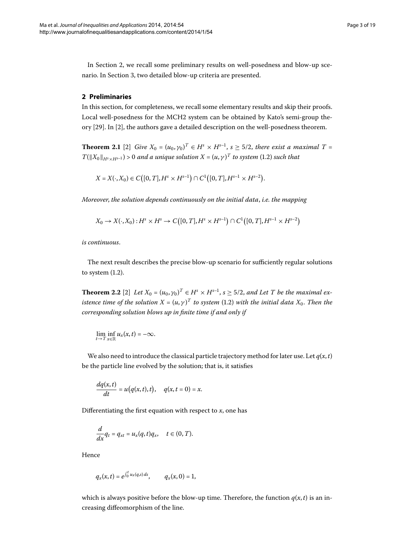<span id="page-2-0"></span>In Section 2, we recall some preliminary results on well-posedness and blow-up scenario. In Section 3, two detailed blow-up criteria are presented.

#### **2 Preliminaries**

In this section, for completeness, we recall some elementary results and skip their proofs. Local well-posedness for the MCH2 system can be obtained by Kato's semi-group the-ory [29[\]](#page-18-3). In [2], the authors gave a detailed description on the well-posedness theorem.

**Theorem 2.1** [2[\]](#page-18-3) *Give*  $X_0 = (u_0, \gamma_0)^T \in H^s \times H^{s-1}$ ,  $s \geq 5/2$ , *there exist a maximal*  $T =$  $T(\|X_0\|_{H^s\times H^{s-1}})$  > 0 and a unique solution  $X=(u,\gamma)^T$  to system (1.2) such that

 $X = X(\cdot, X_0) \in C([0, T], H^s \times H^{s-1}) \cap C^1([0, T], H^{s-1} \times H^{s-2}).$ 

*Moreover*, *the solution depends continuously on the initial data*, *i.e. the mapping*

$$
X_0 \to X(\cdot, X_0) : H^s \times H^s \to C([0, T], H^s \times H^{s-1}) \cap C^1([0, T], H^{s-1} \times H^{s-2})
$$

*is continuous*.

The next result describes the precise blow-up scenario for sufficiently regular solutions to system  $(1.2)$  $(1.2)$  $(1.2)$ .

**Theorem 2.2** [\[](#page-18-3)2] Let  $X_0 = (u_0, \gamma_0)^T \in H^s \times H^{s-1}$ ,  $s \ge 5/2$ , and Let T be the maximal existence time of the solution  $X = (u, \gamma)^T$  to system (1.2) with the initial data  $X_0.$  Then the *corresponding solution blows up in finite time if and only if*

$$
\lim_{t\to T}\inf_{x\in\mathbb{R}}u_x(x,t)=-\infty.
$$

We also need to introduce the classical particle trajectory method for later use. Let  $q(x, t)$ be the particle line evolved by the solution; that is, it satisfies

$$
\frac{dq(x,t)}{dt} = u(q(x,t),t), \quad q(x,t=0) = x.
$$

Differentiating the first equation with respect to *x*, one has

$$
\frac{d}{dx}q_t = q_{xt} = u_x(q,t)q_x, \quad t \in (0,T).
$$

Hence

$$
q_x(x,t) = e^{\int_0^t u_x(q,s) ds}
$$
,  $q_x(x, 0) = 1$ ,

which is always positive before the blow-up time. Therefore, the function  $q(x, t)$  is an increasing diffeomorphism of the line.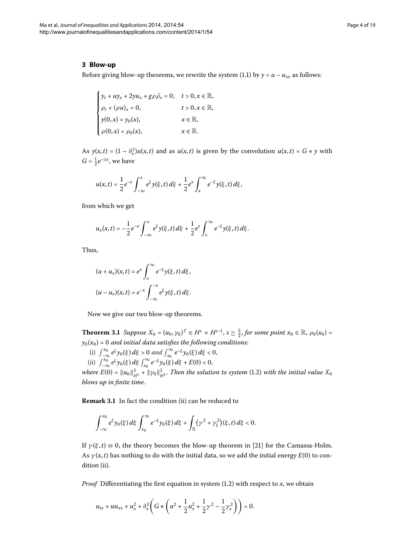#### <span id="page-3-0"></span>**3 Blow-up**

Before giving blow-up theorems, we rewrite the system (1.1) by  $\gamma = u - u_{xx}$  as follows:

$$
\begin{cases}\ny_t + uy_x + 2yu_x + g\rho\bar{\rho}_x = 0, & t > 0, x \in \mathbb{R}, \\
\rho_t + (\rho u)_x = 0, & t > 0, x \in \mathbb{R}, \\
y(0, x) = y_0(x), & x \in \mathbb{R}, \\
\rho(0, x) = \rho_0(x), & x \in \mathbb{R}.\n\end{cases}
$$

As  $y(x,t) = (1 - \partial_x^2)u(x,t)$  and as  $u(x,t)$  is given by the convolution  $u(x,t) = G * y$  with  $G = \frac{1}{2}e^{-|x|}$ , we have

$$
u(x,t) = \frac{1}{2}e^{-x}\int_{-\infty}^{x} e^{\xi}y(\xi,t) d\xi + \frac{1}{2}e^{x}\int_{x}^{\infty} e^{-\xi}y(\xi,t) d\xi,
$$

from which we get

$$
u_x(x,t) = -\frac{1}{2}e^{-x}\int_{-\infty}^x e^{\xi}y(\xi,t)\,d\xi + \frac{1}{2}e^x\int_x^{\infty} e^{-\xi}y(\xi,t)\,d\xi.
$$

<span id="page-3-1"></span>Thus,

$$
(u+u_x)(x,t) = e^x \int_x^{\infty} e^{-\xi} y(\xi, t) d\xi,
$$
  

$$
(u-u_x)(x,t) = e^{-x} \int_{-\infty}^{-x} e^{\xi} y(\xi, t) d\xi.
$$

Now we give our two blow-up theorems.

**Theorem 3.1** Suppose  $X_0 = (u_0, \gamma_0)^T \in H^s \times H^{s-1}$ ,  $s \ge \frac{5}{2}$ , for some point  $x_0 \in \mathbb{R}$ ,  $\rho_0(x_0) =$  $y_0(x_0) = 0$  and initial data satisfies the following conditions:

(i)  $\int_{-\infty}^{x_0} e^{\xi} y_0(\xi) d\xi > 0$  and  $\int_{x_0}^{\infty} e^{-\xi} y_0(\xi) d\xi < 0$ , (ii)  $\int_{-\infty}^{x_0} e^{\xi} y_0(\xi) d\xi \int_{x_0}^{\infty} e^{-\xi} y_0(\xi) d\xi + E(0) < 0$ ,

*where E*(0) =  $||u_0||^2_{H^1}$  +  $||\gamma_0||^2_{H^1}$ . Then the solution to system (1.2) with the initial value  $X_0$ *blows up in finite time*.

**Remark 3.1** In fact the condition (ii) can be reduced to

$$
\int_{-\infty}^{x_0} e^{\xi} y_0(\xi) d\xi \int_{x_0}^{\infty} e^{-\xi} y_0(\xi) d\xi + \int_{\mathbb{R}} (\gamma^2 + \gamma_{\xi}^2)(\xi, t) d\xi < 0.
$$

If  $\gamma(\xi, t) \equiv 0$ , the theory becomes the blow-up theorem in [21[\]](#page-18-19) for the Camassa-Holm. As  $\gamma(x, t)$  has nothing to do with the initial data, so we add the initial energy  $E(0)$  to condition (ii).

*Proof* Differentiating the first equation in system  $(1.2)$  with respect to *x*, we obtain

$$
u_{tx} + u u_{xx} + u_x^2 + \partial_x^2 \left( G \ast \left( u^2 + \frac{1}{2} u_x^2 + \frac{1}{2} \gamma^2 - \frac{1}{2} \gamma_x^2 \right) \right) = 0.
$$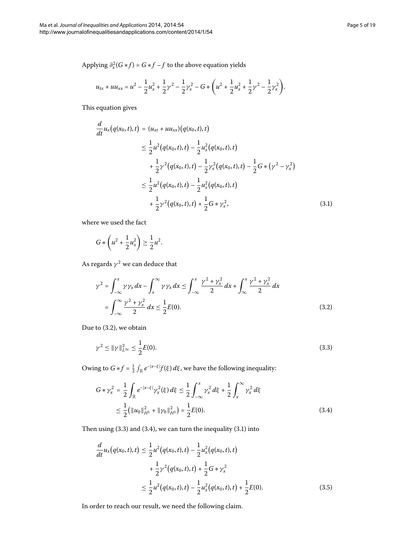<span id="page-4-3"></span>
$$
u_{tx} + u u_{xx} = u^2 - \frac{1}{2} u_x^2 + \frac{1}{2} \gamma^2 - \frac{1}{2} \gamma_x^2 - G * \left( u^2 + \frac{1}{2} u_x^2 + \frac{1}{2} \gamma^2 - \frac{1}{2} \gamma_x^2 \right).
$$

This equation gives

$$
\frac{d}{dt}u_x(q(x_0,t),t) = (u_{xt} + uu_{xx})(q(x_0,t),t)
$$
\n
$$
\leq \frac{1}{2}u^2(q(x_0,t),t) - \frac{1}{2}u_x^2(q(x_0,t),t)
$$
\n
$$
+ \frac{1}{2}\gamma^2(q(x_0,t),t) - \frac{1}{2}\gamma_x^2(q(x_0,t),t) - \frac{1}{2}G*(\gamma^2 - \gamma_x^2)
$$
\n
$$
\leq \frac{1}{2}u^2(q(x_0,t),t) - \frac{1}{2}u_x^2(q(x_0,t),t)
$$
\n
$$
+ \frac{1}{2}\gamma^2(q(x_0,t),t) + \frac{1}{2}G*\gamma_x^2,
$$
\n(3.1)

<span id="page-4-0"></span>where we used the fact

$$
G * \left(u^2 + \frac{1}{2}u_x^2\right) \ge \frac{1}{2}u^2.
$$

As regards  $\gamma^2$  we can deduce that

<span id="page-4-1"></span>
$$
\gamma^{2} = \int_{-\infty}^{x} \gamma \gamma_{x} dx - \int_{x}^{\infty} \gamma \gamma_{x} dx \le \int_{-\infty}^{x} \frac{\gamma^{2} + \gamma_{x}^{2}}{2} dx + \int_{\infty}^{x} \frac{\gamma^{2} + \gamma_{x}^{2}}{2} dx
$$
  
= 
$$
\int_{-\infty}^{\infty} \frac{\gamma^{2} + \gamma_{x}^{2}}{2} dx \le \frac{1}{2} E(0).
$$
 (3.2)

<span id="page-4-2"></span>Due to  $(3.2)$ , we obtain

$$
\gamma^2 \le \|\gamma\|_{L^\infty}^2 \le \frac{1}{2}E(0). \tag{3.3}
$$

<span id="page-4-4"></span>Owing to  $G*f = \frac{1}{2} \int_{\mathbb{R}} e^{-|x-\xi|} f(\xi) d\xi$ , we have the following inequality:

$$
G * \gamma_x^2 = \frac{1}{2} \int_{\mathbb{R}} e^{-|x-\xi|} \gamma_x^2(\xi) d\xi \le \frac{1}{2} \int_{-\infty}^x \gamma_x^2 d\xi + \frac{1}{2} \int_x^\infty \gamma_x^2 d\xi
$$
  

$$
\le \frac{1}{2} (\|u_0\|_{H^1}^2 + \|\gamma_0\|_{H^1}^2) = \frac{1}{2} E(0). \tag{3.4}
$$

Then using  $(3.3)$  $(3.3)$  $(3.3)$  and  $(3.4)$ , we can turn the inequality  $(3.1)$  into

$$
\frac{d}{dt}u_x(q(x_0,t),t) \le \frac{1}{2}u^2(q(x_0,t),t) - \frac{1}{2}u_x^2(q(x_0,t),t) \n+ \frac{1}{2}\gamma^2(q(x_0,t),t) + \frac{1}{2}G*\gamma_x^2 \n\le \frac{1}{2}u^2(q(x_0,t),t) - \frac{1}{2}u_x^2(q(x_0,t),t) + \frac{1}{2}E(0).
$$
\n(3.5)

In order to reach our result, we need the following claim.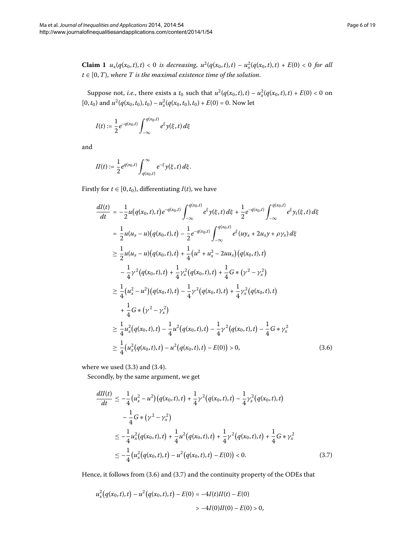**Claim 1**  $u_x(q(x_0,t),t) < 0$  is decreasing,  $u^2(q(x_0,t),t) - u_x^2(q(x_0,t),t) + E(0) < 0$  for all  $t \in [0, T)$ , where T is the maximal existence time of the solution.

Suppose not, *i.e.*, there exists a  $t_0$  such that  $u^2(q(x_0,t),t) - u_x^2(q(x_0,t),t) + E(0) < 0$  on  $[0, t_0)$  and  $u^2(q(x_0, t_0), t_0) - u_x^2(q(x_0, t_0), t_0) + E(0) = 0$ . Now let

$$
I(t) := \frac{1}{2} e^{-q(x_0, t)} \int_{-\infty}^{q(x_0, t)} e^{\xi} y(\xi, t) d\xi
$$

<span id="page-5-0"></span>and

$$
II(t) := \frac{1}{2} e^{q(x_0,t)} \int_{q(x_0,t)}^{\infty} e^{-\xi} y(\xi,t) d\xi.
$$

Firstly for  $t \in [0, t_0)$ , differentiating  $I(t)$ , we have

$$
\frac{dI(t)}{dt} = -\frac{1}{2}u(q(x_0, t), t)e^{-q(x_0, t)}\int_{-\infty}^{q(x_0, t)} e^{\xi}y(\xi, t) d\xi + \frac{1}{2}e^{-q(x_0, t)}\int_{-\infty}^{q(x_0, t)} e^{\xi}y_t(\xi, t) d\xi
$$
\n
$$
= \frac{1}{2}u(u_x - u)(q(x_0, t), t) - \frac{1}{2}e^{-q(x_0, t)}\int_{-\infty}^{q(x_0, t)} e^{\xi}(uy_x + 2u_x y + \rho \gamma_x) d\xi
$$
\n
$$
\geq \frac{1}{2}u(u_x - u)(q(x_0, t), t) + \frac{1}{4}(u^2 + u_x^2 - 2uu_x)(q(x_0, t), t)
$$
\n
$$
- \frac{1}{4}\gamma^2(q(x_0, t), t) + \frac{1}{4}\gamma_x^2(q(x_0, t), t) + \frac{1}{4}G*(\gamma^2 - \gamma_x^2)
$$
\n
$$
\geq \frac{1}{4}(u_x^2 - u^2)(q(x_0, t), t) - \frac{1}{4}\gamma^2(q(x_0, t), t) + \frac{1}{4}\gamma_x^2(q(x_0, t), t)
$$
\n
$$
+ \frac{1}{4}G*(\gamma^2 - \gamma_x^2)
$$
\n
$$
\geq \frac{1}{4}u_x^2(q(x_0, t), t) - \frac{1}{4}u^2(q(x_0, t), t) - \frac{1}{4}\gamma^2(q(x_0, t), t) - \frac{1}{4}G*\gamma_x^2
$$
\n
$$
\geq \frac{1}{4}(u_x^2(q(x_0, t), t) - u^2(q(x_0, t), t) - E(0)) > 0,
$$
\n(3.6)

<span id="page-5-1"></span>where we used  $(3.3)$  $(3.3)$  $(3.3)$  and  $(3.4)$ .

Secondly, by the same argument, we get

$$
\frac{dI(t)}{dt} \le -\frac{1}{4} (u_x^2 - u^2) (q(x_0, t), t) + \frac{1}{4} \gamma^2 (q(x_0, t), t) - \frac{1}{4} \gamma_x^2 (q(x_0, t), t) \n- \frac{1}{4} G * (\gamma^2 - \gamma_x^2) \n\le -\frac{1}{4} u_x^2 (q(x_0, t), t) + \frac{1}{4} u^2 (q(x_0, t), t) + \frac{1}{4} \gamma^2 (q(x_0, t), t) + \frac{1}{4} G * \gamma_x^2 \n\le - \frac{1}{4} (u_x^2 (q(x_0, t), t) - u^2 (q(x_0, t), t) - E(0)) < 0.
$$
\n(3.7)

Hence, it follows from  $(3.6)$  and  $(3.7)$  and the continuity property of the ODEs that

$$
u_x^2(q(x_0,t),t) - u^2(q(x_0,t),t) - E(0) = -4I(t)H(t) - E(0)
$$
  
> -4I(0)H(0) - E(0) > 0,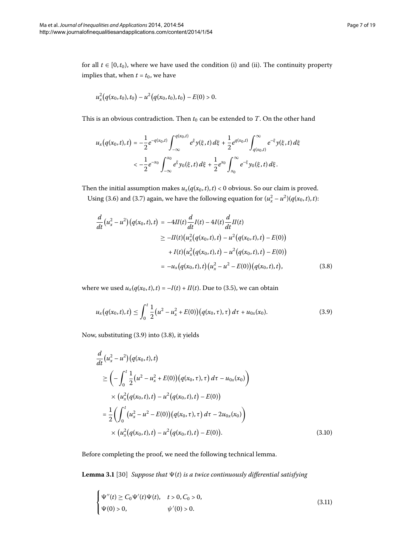for all  $t \in [0, t_0)$ , where we have used the condition (i) and (ii). The continuity property implies that, when  $t = t_0$ , we have

$$
u_x^2(q(x_0,t_0),t_0)-u^2(q(x_0,t_0),t_0)-E(0)>0.
$$

This is an obvious contradiction. Then  $t_0$  can be extended to  $T$ . On the other hand

$$
u_x(q(x_0,t),t) = -\frac{1}{2}e^{-q(x_0,t)}\int_{-\infty}^{q(x_0,t)} e^{\xi}y(\xi,t) d\xi + \frac{1}{2}e^{q(x_0,t)}\int_{q(x_0,t)}^{\infty} e^{-\xi}y(\xi,t) d\xi
$$
  

$$
< -\frac{1}{2}e^{-x_0}\int_{-\infty}^{x_0} e^{\xi}y_0(\xi,t) d\xi + \frac{1}{2}e^{x_0}\int_{x_0}^{\infty} e^{-\xi}y_0(\xi,t) d\xi.
$$

<span id="page-6-1"></span>Then the initial assumption makes  $u_x(q(x_0,t),t) < 0$  obvious. So our claim is proved.

Using (3[.](#page-5-0)6) and (3.7) again, we have the following equation for  $(u_x^2 - u^2)(q(x_0, t), t)$ :

<span id="page-6-0"></span>
$$
\frac{d}{dt}(u_x^2 - u^2)(q(x_0, t), t) = -4H(t)\frac{d}{dt}I(t) - 4I(t)\frac{d}{dt}H(t)
$$
\n
$$
\geq -H(t)(u_x^2(q(x_0, t), t) - u^2(q(x_0, t), t) - E(0))
$$
\n
$$
+ I(t)(u_x^2(q(x_0, t), t) - u^2(q(x_0, t), t) - E(0))
$$
\n
$$
= -u_x(q(x_0, t), t)(u_x^2 - u^2 - E(0))(q(x_0, t), t),
$$
\n(3.8)

where we used  $u_x(q(x_0, t), t) = -I(t) + II(t)$ . Due to (3.5), we can obtain

$$
u_x(q(x_0,t),t) \leq \int_0^t \frac{1}{2} \big( u^2 - u_x^2 + E(0) \big) \big( q(x_0,\tau),\tau \big) d\tau + u_{0x}(x_0). \tag{3.9}
$$

Now, substituting (3[.](#page-6-0)9) into (3.8), it yields

<span id="page-6-2"></span>
$$
\frac{d}{dt}(u_x^2 - u^2)(q(x_0, t), t)
$$
\n
$$
\geq \left(-\int_0^t \frac{1}{2}(u^2 - u_x^2 + E(0))(q(x_0, \tau), \tau) d\tau - u_{0x}(x_0)\right)
$$
\n
$$
\times (u_x^2(q(x_0, t), t) - u^2(q(x_0, t), t) - E(0))
$$
\n
$$
= \frac{1}{2}\left(\int_0^t (u_x^2 - u^2 - E(0))(q(x_0, \tau), \tau) d\tau - 2u_{0x}(x_0)\right)
$$
\n
$$
\times (u_x^2(q(x_0, t), t) - u^2(q(x_0, t), t) - E(0)).
$$
\n(3.10)

Before completing the proof, we need the following technical lemma.

**Lemma 3.1** [30] *Suppose that*  $\Psi(t)$  *is a twice continuously differential satisfying* 

<span id="page-6-3"></span>
$$
\begin{cases} \Psi''(t) \ge C_0 \Psi'(t) \Psi(t), & t > 0, C_0 > 0, \\ \Psi(0) > 0, & \psi'(0) > 0. \end{cases} \tag{3.11}
$$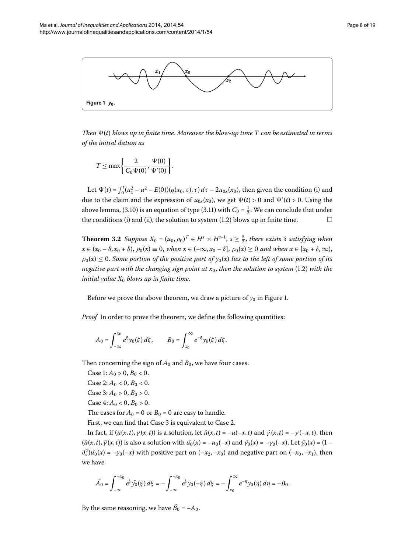<span id="page-7-0"></span>

*Then*  $\Psi(t)$  blows up in finite time. Moreover the blow-up time T can be estimated in terms *of the initial datum as*

$$
T \leq \max \left\{ \frac{2}{C_0 \Psi(0)}, \frac{\Psi(0)}{\Psi'(0)} \right\}.
$$

<span id="page-7-1"></span>Let  $\Psi(t) = \int_0^t (u_x^2 - u^2 - E(0))(q(x_0, \tau), \tau) d\tau - 2u_{0x}(x_0)$ , then given the condition (i) and due to the claim and the expression of  $u_{0x}(x_0)$ , we get  $\Psi(t) > 0$  and  $\Psi'(t) > 0$ . Using the above lemma, (3[.](#page-6-3)10) is an equation of type (3.11) with  $C_0 = \frac{1}{2}$ . We can conclude that under the conditions (i) and (ii), the solution to system  $(1.2)$  $(1.2)$  $(1.2)$  blows up in finite time.  $\Box$ 

**Theorem 3.2** Suppose  $X_0 = (u_0, \rho_0)^T \in H^s \times H^{s-1}$ ,  $s \ge \frac{5}{2}$ , there exists  $\delta$  satisfying when  $x \in (x_0 - \delta, x_0 + \delta), \rho_0(x) \equiv 0$ , when  $x \in (-\infty, x_0 - \delta], \rho_0(x) \ge 0$  and when  $x \in [x_0 + \delta, \infty)$ ,  $\rho_0(x) \leq 0$ . Some portion of the positive part of  $y_0(x)$  lies to the left of some portion of its *negative part with the changing sign point at*  $x_0$ , *then the solution to system* (1.2) with the *initial value*  $X_0$  *blows up in finite time.* 

Before we prove the above theorem, we draw a picture of  $y_0$  in Figure 1[.](#page-7-0)

*Proof* In order to prove the theorem, we define the following quantities:

$$
A_0 = \int_{-\infty}^{x_0} e^{\xi} y_0(\xi) d\xi, \qquad B_0 = \int_{x_0}^{\infty} e^{-\xi} y_0(\xi) d\xi.
$$

Then concerning the sign of  $A_0$  and  $B_0$ , we have four cases.

Case 1:  $A_0 > 0$ ,  $B_0 < 0$ . Case 2:  $A_0 < 0$ ,  $B_0 < 0$ . Case 3:  $A_0 > 0$ ,  $B_0 > 0$ . Case  $4: A_0 < 0, B_0 > 0$ . The cases for  $A_0 = 0$  or  $B_0 = 0$  are easy to handle. First, we can find that Case 3 is equivalent to Case 2.

In fact, if  $(u(x, t), \gamma(x, t))$  is a solution, let  $\tilde{u}(x, t) = -u(-x, t)$  and  $\tilde{\gamma}(x, t) = -\gamma(-x, t)$ , then  $(\tilde{u}(x,t), \tilde{\gamma}(x,t))$  is also a solution with  $\tilde{u}_0(x) = -u_0(-x)$  and  $\tilde{\gamma}_0(x) = -\gamma_0(-x)$ . Let  $\tilde{\gamma}_0(x) = (1-x)$  $\partial_x^2$ ) $\tilde{u}_0(x) = -y_0(-x)$  with positive part on  $(-x_2, -x_0)$  and negative part on  $(-x_0, -x_1)$ , then we have

$$
\tilde{A}_0 = \int_{-\infty}^{-x_0} e^{\xi} \tilde{y_0}(\xi) d\xi = -\int_{-\infty}^{-x_0} e^{\xi} y_0(-\xi) d\xi = -\int_{x_0}^{\infty} e^{-\eta} y_0(\eta) d\eta = -B_0.
$$

By the same reasoning, we have  $B_0 = -A_0$ .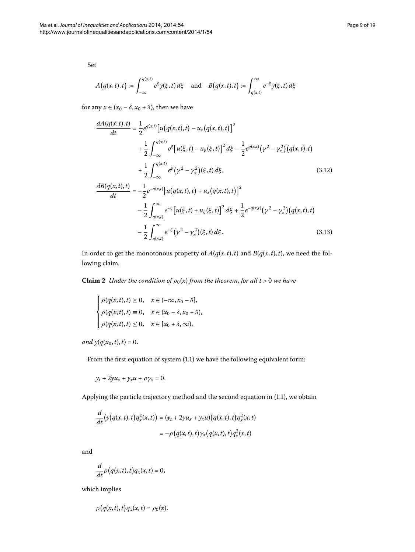<span id="page-8-0"></span> $A(q(x,t),t) := \int^{q(x,t)}$ –∞  $e^{\xi} y(\xi, t) d\xi$  and  $B(q(x, t), t) := \int_{q(x, t)}^{\infty} e^{-\xi} y(\xi, t) d\xi$ 

for any  $x \in (x_0 - \delta, x_0 + \delta)$ , then we have

<span id="page-8-1"></span>
$$
\frac{dA(q(x,t),t)}{dt} = \frac{1}{2}e^{q(x,t)}[u(q(x,t),t) - u_x(q(x,t),t)]^2
$$
  
+ 
$$
\frac{1}{2}\int_{-\infty}^{q(x,t)} e^{\xi}[u(\xi,t) - u_{\xi}(\xi,t)]^2 d\xi - \frac{1}{2}e^{q(x,t)}(\gamma^2 - \gamma_x^2)(q(x,t),t)
$$
  
+ 
$$
\frac{1}{2}\int_{-\infty}^{q(x,t)} e^{\xi}(\gamma^2 - \gamma_x^2)(\xi,t) d\xi,
$$
(3.12)  

$$
\frac{dB(q(x,t),t)}{dt} = -\frac{1}{2}e^{-q(x,t)}[u(q(x,t),t) + u_x(q(x,t),t)]^2
$$
  
- 
$$
\frac{1}{2}\int_{q(x,t)}^{\infty} e^{-\xi}[u(\xi,t) + u_{\xi}(\xi,t)]^2 d\xi + \frac{1}{2}e^{-q(x,t)}(\gamma^2 - \gamma_x^2)(q(x,t),t)
$$
  
- 
$$
\frac{1}{2}\int_{q(x,t)}^{\infty} e^{-\xi}(\gamma^2 - \gamma_x^2)(\xi,t) d\xi.
$$
(3.13)

In order to get the monotonous property of  $A(q(x,t),t)$  and  $B(q(x,t),t)$ , we need the following claim.

**Claim 2** *Under the condition of*  $\rho_0(x)$  *from the theorem, for all t* > 0 *we have* 

$$
\begin{cases}\n\rho(q(x,t),t) \ge 0, & x \in (-\infty, x_0 - \delta], \\
\rho(q(x,t),t) \equiv 0, & x \in (x_0 - \delta, x_0 + \delta), \\
\rho(q(x,t),t) \le 0, & x \in [x_0 + \delta, \infty),\n\end{cases}
$$

*and*  $y(q(x_0, t), t) = 0$ .

From the first equation of system  $(1.1)$  $(1.1)$  $(1.1)$  we have the following equivalent form:

$$
y_t + 2yu_x + y_xu + \rho y_x = 0.
$$

Applying the particle trajectory method and the second equation in  $(1.1)$  $(1.1)$  $(1.1)$ , we obtain

$$
\frac{d}{dt}\big(y\big(q(x,t),t\big)q_x^2(x,t)\big) = (y_t + 2yu_x + y_xu)\big(q(x,t),t\big)q_x^2(x,t)
$$
\n
$$
= -\rho\big(q(x,t),t\big)\gamma_x\big(q(x,t),t\big)q_x^2(x,t)
$$

and

$$
\frac{d}{dt}\rho\big(q(x,t),t\big)q_x(x,t)=0,
$$

which implies

$$
\rho\big(q(x,t),t\big)q_x(x,t)=\rho_0(x).
$$

Set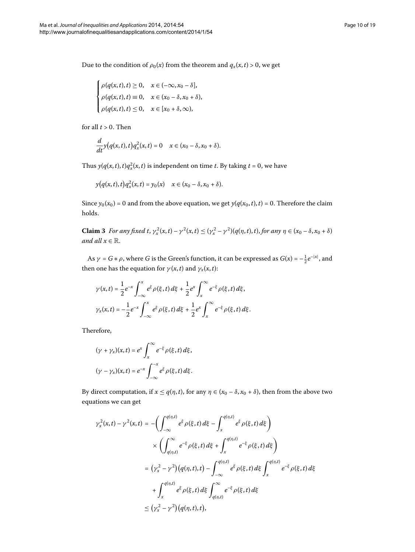Due to the condition of  $\rho_0(x)$  from the theorem and  $q_x(x,t) > 0$ , we get

$$
\begin{cases}\n\rho(q(x,t),t) \ge 0, & x \in (-\infty, x_0 - \delta], \\
\rho(q(x,t),t) \equiv 0, & x \in (x_0 - \delta, x_0 + \delta), \\
\rho(q(x,t),t) \le 0, & x \in [x_0 + \delta, \infty),\n\end{cases}
$$

for all  $t > 0$ . Then

$$
\frac{d}{dt}y(q(x,t),t)q_x^2(x,t)=0 \quad x\in (x_0-\delta,x_0+\delta).
$$

<span id="page-9-0"></span>Thus  $y(q(x, t), t)q_x^2(x, t)$  is independent on time *t*. By taking  $t = 0$ , we have

$$
y(q(x, t), t)q_x^2(x, t) = y_0(x) \quad x \in (x_0 - \delta, x_0 + \delta).
$$

Since  $y_0(x_0) = 0$  and from the above equation, we get  $y(q(x_0, t), t) = 0$ . Therefore the claim holds.

**Claim 3** For any fixed t,  $\gamma_x^2(x,t) - \gamma^2(x,t) \leq (\gamma_x^2 - \gamma^2)(q(\eta,t),t)$ , for any  $\eta \in (x_0 - \delta, x_0 + \delta)$ *and all*  $x \in \mathbb{R}$ .

As  $\gamma = G * \rho$ , where *G* is the Green's function, it can be expressed as  $G(x) = -\frac{1}{2}e^{-|x|}$ , and then one has the equation for  $\gamma(x, t)$  and  $\gamma_x(x, t)$ :

$$
\gamma(x,t) = \frac{1}{2}e^{-x} \int_{-\infty}^{x} e^{\xi} \rho(\xi, t) d\xi + \frac{1}{2}e^{x} \int_{x}^{\infty} e^{-\xi} \rho(\xi, t) d\xi,
$$
  

$$
\gamma_x(x,t) = -\frac{1}{2}e^{-x} \int_{-\infty}^{x} e^{\xi} \rho(\xi, t) d\xi + \frac{1}{2}e^{x} \int_{x}^{\infty} e^{-\xi} \rho(\xi, t) d\xi.
$$

Therefore,

$$
(\gamma + \gamma_x)(x, t) = e^x \int_x^{\infty} e^{-\xi} \rho(\xi, t) d\xi,
$$
  

$$
(\gamma - \gamma_x)(x, t) = e^{-x} \int_{-\infty}^{-x} e^{\xi} \rho(\xi, t) d\xi.
$$

By direct computation, if  $x \le q(\eta, t)$ , for any  $\eta \in (x_0 - \delta, x_0 + \delta)$ , then from the above two equations we can get

$$
\gamma_x^2(x,t) - \gamma^2(x,t) = -\left(\int_{-\infty}^{q(\eta,t)} e^{\xi} \rho(\xi,t) d\xi - \int_x^{q(\eta,t)} e^{\xi} \rho(\xi,t) d\xi\right)
$$
  

$$
\times \left(\int_{q(\eta,t)}^{\infty} e^{-\xi} \rho(\xi,t) d\xi + \int_x^{q(\eta,t)} e^{-\xi} \rho(\xi,t) d\xi\right)
$$
  

$$
= (\gamma_x^2 - \gamma^2) (q(\eta,t),t) - \int_{-\infty}^{q(\eta,t)} e^{\xi} \rho(\xi,t) d\xi \int_x^{q(\eta,t)} e^{-\xi} \rho(\xi,t) d\xi
$$
  

$$
+ \int_x^{q(\eta,t)} e^{\xi} \rho(\xi,t) d\xi \int_{q(\eta,t)}^{\infty} e^{-\xi} \rho(\xi,t) d\xi
$$
  

$$
\leq (\gamma_x^2 - \gamma^2) (q(\eta,t),t),
$$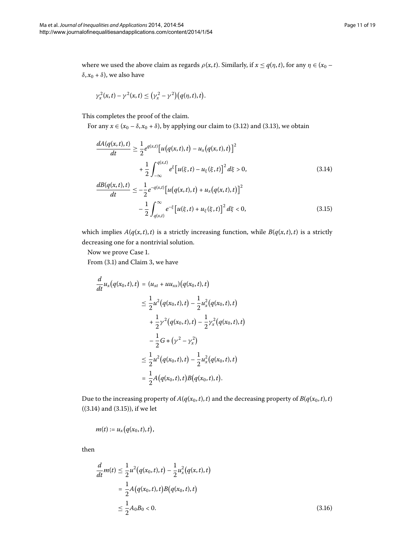where we used the above claim as regards  $\rho(x, t)$ . Similarly, if  $x \leq q(\eta, t)$ , for any  $\eta \in (x_0 - t)$  $\delta$ ,  $x_0 + \delta$ ), we also have

<span id="page-10-0"></span>
$$
\gamma_x^2(x,t)-\gamma^2(x,t)\leq (\gamma_x^2-\gamma^2)\big(q(\eta,t),t\big).
$$

This completes the proof of the claim.

For any  $x \in (x_0 - \delta, x_0 + \delta)$ , by applying our claim to (3[.](#page-8-0)12) and (3.13), we obtain

$$
\frac{dA(q(x,t),t)}{dt} \ge \frac{1}{2} e^{q(x,t)} \Big[ u(q(x,t),t) - u_x(q(x,t),t) \Big]^2
$$
  
+ 
$$
\frac{1}{2} \int_{-\infty}^{q(x,t)} e^{\xi} \Big[ u(\xi,t) - u_{\xi}(\xi,t) \Big]^2 d\xi > 0,
$$
  

$$
\frac{dB(q(x,t),t)}{dt} \Bigg[ -\frac{1}{2} \Big[ \frac{1}{2} \Big( \frac{1}{2} \Big( \frac{1}{2} \Big) + \frac{1}{2} \Big( \frac{1}{2} \Big( \frac{1}{2} \Big) + \frac{1}{2} \Big) \Big] \Big[ \frac{1}{2} \Big( \frac{1}{2} \Big) + \frac{1}{2} \Big( \frac{1}{2} \Big( \frac{1}{2} \Big) + \frac{1}{2} \Big) \Big] \Big[ \frac{1}{2} \Big( \frac{1}{2} \Big) + \frac{1}{2} \Big( \frac{1}{2} \Big) \Big] \Big[ \frac{1}{2} \Big( \frac{1}{2} \Big) + \frac{1}{2} \Big( \frac{1}{2} \Big) \Big] \Big[ \frac{1}{2} \Big( \frac{1}{2} \Big) + \frac{1}{2} \Big( \frac{1}{2} \Big) \Big] \Big[ \frac{1}{2} \Big( \frac{1}{2} \Big) + \frac{1}{2} \Big( \frac{1}{2} \Big) \Big] \Big[ \frac{1}{2} \Big( \frac{1}{2} \Big) + \frac{1}{2} \Big( \frac{1}{2} \Big) \Big] \Big]
$$
(3.14)

<span id="page-10-1"></span>
$$
\frac{(q(x,t),t)}{dt} \le -\frac{1}{2}e^{-q(x,t)}\big[u(q(x,t),t) + u_x(q(x,t),t)\big]^2 \n- \frac{1}{2}\int_{q(x,t)}^{\infty} e^{-\xi}\big[u(\xi,t) + u_{\xi}(\xi,t)\big]^2 d\xi < 0,
$$
\n(3.15)

which implies  $A(q(x, t), t)$  is a strictly increasing function, while  $B(q(x, t), t)$  is a strictly decreasing one for a nontrivial solution.

Now we prove Case 1.

From  $(3.1)$  $(3.1)$  $(3.1)$  and Claim 3, we have

$$
\frac{d}{dt}u_x(q(x_0,t),t) = (u_{xt} + uu_{xx})(q(x_0,t),t)
$$
\n
$$
\leq \frac{1}{2}u^2(q(x_0,t),t) - \frac{1}{2}u_x^2(q(x_0,t),t)
$$
\n
$$
+ \frac{1}{2}\gamma^2(q(x_0,t),t) - \frac{1}{2}\gamma_x^2(q(x_0,t),t)
$$
\n
$$
- \frac{1}{2}G*(\gamma^2 - \gamma_x^2)
$$
\n
$$
\leq \frac{1}{2}u^2(q(x_0,t),t) - \frac{1}{2}u_x^2(q(x_0,t),t)
$$
\n
$$
= \frac{1}{2}A(q(x_0,t),t)B(q(x_0,t),t).
$$

<span id="page-10-2"></span>Due to the increasing property of  $A(q(x_0,t),t)$  and the decreasing property of  $B(q(x_0,t),t)$  $((3.14)$  $((3.14)$  $((3.14)$  and  $(3.15)$ ), if we let

$$
m(t) := u_x(q(x_0,t),t),
$$

then

$$
\frac{d}{dt}m(t) \le \frac{1}{2}u^2(q(x_0, t), t) - \frac{1}{2}u_x^2(q(x, t), t)
$$
\n
$$
= \frac{1}{2}A(q(x_0, t), t)B(q(x_0, t), t)
$$
\n
$$
\le \frac{1}{2}A_0B_0 < 0.
$$
\n(3.16)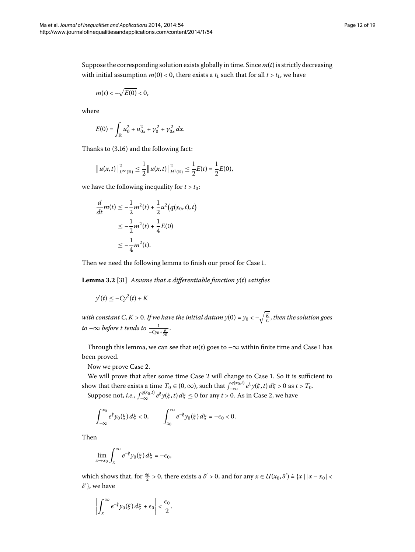Suppose the corresponding solution exists globally in time. Since *m*(*t*) is strictly decreasing with initial assumption  $m(0) < 0$ , there exists a  $t_1$  such that for all  $t > t_1$ , we have

$$
m(t)<-\sqrt{E(0)}<0,
$$

where

$$
E(0) = \int_{\mathbb{R}} u_0^2 + u_{0x}^2 + \gamma_0^2 + \gamma_{0x}^2 dx.
$$

Thanks to  $(3.16)$  and the following fact:

$$
\|u(x,t)\|_{L^{\infty}(\mathbb{R})}^2 \leq \frac{1}{2} \|u(x,t)\|_{H^1(\mathbb{R})}^2 \leq \frac{1}{2}E(t) = \frac{1}{2}E(0),
$$

we have the following inequality for  $t > t_0$ :

$$
\frac{d}{dt}m(t) \le -\frac{1}{2}m^2(t) + \frac{1}{2}u^2(q(x_0, t), t)
$$
  

$$
\le -\frac{1}{2}m^2(t) + \frac{1}{4}E(0)
$$
  

$$
\le -\frac{1}{4}m^2(t).
$$

Then we need the following lemma to finish our proof for Case 1.

**Lemma 3.2** [31[\]](#page-18-31) Assume that a differentiable function  $y(t)$  satisfies

$$
y'(t) \le -Cy^2(t) + K
$$

*with constant C,K > 0. If we have the initial datum y(0) = y* $_{0}$  *< –* $\sqrt{\frac{K}{C}}$ *, then the solution goes*  $to$  – $\infty$  *before t tends to*  $\frac{1}{-Cy_0+\frac{K}{y_0}}$ .

Through this lemma, we can see that  $m(t)$  goes to  $-\infty$  within finite time and Case 1 has been proved.

Now we prove Case 2.

We will prove that after some time Case 2 will change to Case 1. So it is sufficient to show that there exists a time  $T_0 \in (0,\infty)$ , such that  $\int_{-\infty}^{q(x_0,t)} e^{\xi} y(\xi,t) d\xi > 0$  as  $t > T_0$ . Suppose not, *i.e.*,  $\int_{-\infty}^{q(x_0,t)} e^{\xi} y(\xi,t) d\xi \le 0$  for any  $t > 0$ . As in Case 2, we have

$$
\int_{-\infty}^{x_0} e^{\xi} y_0(\xi) d\xi < 0, \qquad \int_{x_0}^{\infty} e^{-\xi} y_0(\xi) d\xi = -\epsilon_0 < 0.
$$

Then

$$
\lim_{x\to x_0}\int_x^\infty e^{-\xi}y_0(\xi)\,d\xi=-\epsilon_0,
$$

which shows that, for  $\frac{\epsilon_0}{2} > 0$ , there exists a  $\delta' > 0$ , and for any  $x \in U(x_0, \delta') \doteq \{x \mid |x - x_0| < \delta\}$ *δ* }, we have

$$
\left|\int_x^\infty e^{-\xi}y_0(\xi)\,d\xi+\epsilon_0\right|<\frac{\epsilon_0}{2}.
$$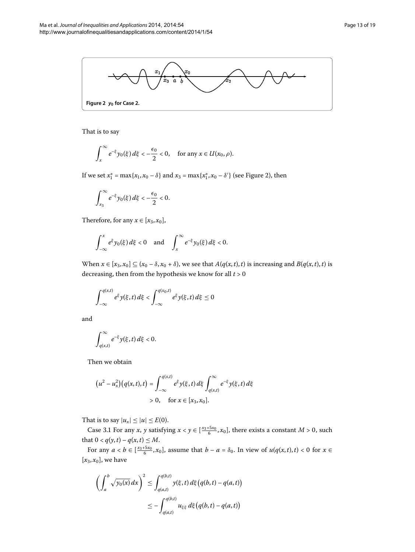<span id="page-12-0"></span>

That is to say

$$
\int_x^{\infty} e^{-\xi} y_0(\xi) d\xi < -\frac{\epsilon_0}{2} < 0, \quad \text{for any } x \in U(x_0, \rho).
$$

If we set  $x_1^* = \max\{x_1, x_0 - \delta\}$  and  $x_3 = \max\{x_1^*, x_0 - \delta'\}$  (see Figure 2[\)](#page-12-0), then

$$
\int_{x_3}^{\infty} e^{-\xi} y_0(\xi) \, d\xi < -\frac{\epsilon_0}{2} < 0.
$$

Therefore, for any  $x \in [x_3, x_0]$ ,

$$
\int_{-\infty}^x e^{\xi} y_0(\xi) d\xi < 0 \quad \text{and} \quad \int_x^{\infty} e^{-\xi} y_0(\xi) d\xi < 0.
$$

When  $x \in [x_3, x_0] \subseteq (x_0 - \delta, x_0 + \delta)$ , we see that  $A(q(x, t), t)$  is increasing and  $B(q(x, t), t)$  is decreasing, then from the hypothesis we know for all  $t > 0$ 

$$
\int_{-\infty}^{q(x,t)} e^{\xi} y(\xi, t) d\xi < \int_{-\infty}^{q(x_0,t)} e^{\xi} y(\xi, t) d\xi \le 0
$$

and

$$
\int_{q(x,t)}^{\infty}e^{-\xi}y(\xi,t)\,d\xi<0.
$$

Then we obtain

$$
(u^{2} - u_{x}^{2})(q(x, t), t) = \int_{-\infty}^{q(x, t)} e^{\xi} y(\xi, t) d\xi \int_{q(x, t)}^{\infty} e^{-\xi} y(\xi, t) d\xi
$$
  
> 0, for  $x \in [x_{3}, x_{0}].$ 

<span id="page-12-1"></span>That is to say  $|u_x| \le |u| \le E(0)$ .

Case 3.1 For any *x*, *y* satisfying  $x < y \in [\frac{x_3+5x_0}{6}, x_0]$ , there exists a constant *M* > 0, such that  $0 < q(y, t) - q(x, t) \le M$ .

For any  $a < b \in [\frac{x_3+5x_0}{6}, x_0]$ , assume that  $b - a = \delta_0$ . In view of  $u(q(x,t), t) < 0$  for  $x \in$  $[x_3, x_0]$ , we have

$$
\left(\int_a^b \sqrt{y_0(x)} dx\right)^2 \le \int_{q(a,t)}^{q(b,t)} y(\xi, t) d\xi \left(q(b,t) - q(a,t)\right)
$$
  

$$
\le -\int_{q(a,t)}^{q(b,t)} u_{\xi\xi} d\xi \left(q(b,t) - q(a,t)\right)
$$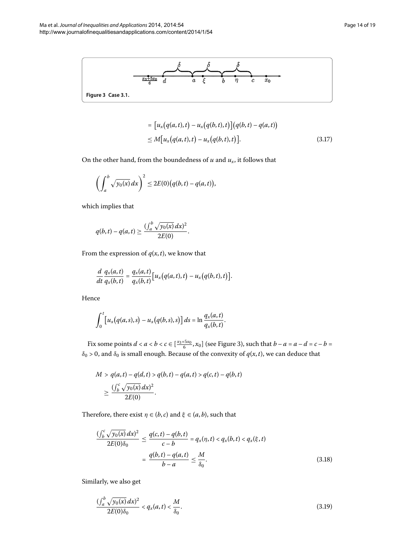

<span id="page-13-0"></span>
$$
= [u_x(q(a,t),t) - u_x(q(b,t),t)](q(b,t) - q(a,t))
$$
  
 
$$
\leq M[u_x(q(a,t),t) - u_x(q(b,t),t)].
$$
 (3.17)

On the other hand, from the boundedness of  $u$  and  $u_x$ , it follows that

$$
\left(\int_a^b \sqrt{y_0(x)} dx\right)^2 \le 2E(0)\big(q(b,t)-q(a,t)\big),
$$

which implies that

$$
q(b,t)-q(a,t)\geq \frac{(\int_a^b \sqrt{y_0(x)} dx)^2}{2E(0)}.
$$

From the expression of  $q(x, t)$ , we know that

$$
\frac{d}{dt}\frac{q_x(a,t)}{q_x(b,t)}=\frac{q_x(a,t)}{q_x(b,t)}\big[u_x(q(a,t),t)-u_x(q(b,t),t)\big].
$$

Hence

$$
\int_0^t \left[ u_x(q(a,s),s) - u_x(q(b,s),s) \right] ds = \ln \frac{q_x(a,t)}{q_x(b,t)}.
$$

<span id="page-13-1"></span>Fix some points  $d < a < b < c \in \left[\frac{x_3+5x_0}{6}, x_0\right]$  (see Figure 3[\)](#page-13-0), such that  $b-a = a-d = c-b =$  $\delta_0$  > 0, and  $\delta_0$  is small enough. Because of the convexity of  $q(x,t)$ , we can deduce that

$$
M > q(a,t) - q(d,t) > q(b,t) - q(a,t) > q(c,t) - q(b,t)
$$
  
 
$$
\geq \frac{(\int_b^c \sqrt{y_0(x)} dx)^2}{2E(0)}.
$$

<span id="page-13-2"></span>Therefore, there exist  $\eta \in (b, c)$  and  $\xi \in (a, b)$ , such that

$$
\frac{(\int_b^c \sqrt{y_0(x)} dx)^2}{2E(0)\delta_0} \le \frac{q(c,t) - q(b,t)}{c - b} = q_x(\eta, t) < q_x(b,t) < q_x(\xi, t)
$$

$$
= \frac{q(b,t) - q(a,t)}{b - a} \le \frac{M}{\delta_0}.
$$
(3.18)

Similarly, we also get

$$
\frac{\left(\int_{a}^{b} \sqrt{y_0(x)} \, dx\right)^2}{2E(0)\delta_0} < q_x(a, t) < \frac{M}{\delta_0}.\tag{3.19}
$$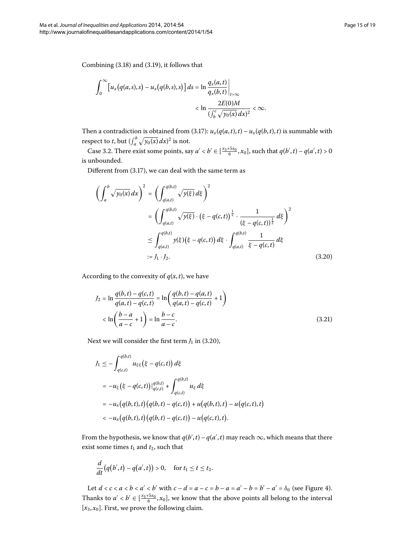Combining  $(3.18)$  and  $(3.19)$ , it follows that

$$
\int_0^\infty \left[ u_x(q(a,s),s) - u_x(q(b,s),s) \right] ds = \ln \frac{q_x(a,t)}{q_x(b,t)} \Big|_{t=\infty}
$$
  

$$
< \ln \frac{2E(0)M}{\left( \int_b^c \sqrt{y_0(x)} dx \right)^2} < \infty.
$$

<span id="page-14-0"></span>Then a contradiction is obtained from (3.17):  $u_x(q(a,t),t) - u_x(q(b,t),t)$  is summable with respect to *t*, but  $(\int_a^b \sqrt{y_0(x)} dx)^2$  is not.

Case 3.2. There exist some points, say  $a' < b' \in [\frac{x_3+5x_0}{6}, x_0]$ , such that  $q(b', t) - q(a', t) > 0$ is unbounded.

Different from  $(3.17)$ , we can deal with the same term as

$$
\left(\int_{a}^{b} \sqrt{y_0(x)} dx\right)^2 = \left(\int_{q(a,t)}^{q(b,t)} \sqrt{y(\xi)} d\xi\right)^2
$$
  
\n
$$
= \left(\int_{q(a,t)}^{q(b,t)} \sqrt{y(\xi)} \cdot (\xi - q(c,t)) \frac{1}{2} \cdot \frac{1}{(\xi - q(c,t)) \frac{1}{2}} d\xi\right)^2
$$
  
\n
$$
\leq \int_{q(a,t)}^{q(b,t)} y(\xi) (\xi - q(c,t)) d\xi \cdot \int_{q(a,t)}^{q(b,t)} \frac{1}{\xi - q(c,t)} d\xi
$$
  
\n
$$
:= J_1 \cdot J_2.
$$
 (3.20)

<span id="page-14-1"></span>According to the convexity of  $q(x, t)$ , we have

$$
J_2 = \ln \frac{q(b,t) - q(c,t)}{q(a,t) - q(c,t)} = \ln \left( \frac{q(b,t) - q(a,t)}{q(a,t) - q(c,t)} + 1 \right)
$$
  

$$
< \ln \left( \frac{b-a}{a-c} + 1 \right) = \ln \frac{b-c}{a-c}.
$$
 (3.21)

Next we will consider the first term  $J_1$  in (3.20),

$$
J_1 \leq -\int_{q(c,t)}^{q(b,t)} u_{\xi\xi} (\xi - q(c,t)) d\xi
$$
  
=  $-u_{\xi} (\xi - q(c,t))|_{q(c,t)}^{q(b,t)} + \int_{q(c,t)}^{q(b,t)} u_{\xi} d\xi$   
=  $-u_x (q(b,t),t) (q(b,t) - q(c,t)) + u(q(b,t),t) - u(q(c,t),t)$   
<  $-u_x (q(b,t),t) (q(b,t) - q(c,t)) - u(q(c,t),t).$ 

From the hypothesis, we know that  $q(b',t) - q(a',t)$  may reach  $\infty$ , which means that there exist some times  $t_1$  and  $t_2$ , such that

$$
\frac{d}{dt}(q(b',t)-q(a',t))>0, \text{ for } t_1 \leq t \leq t_2.
$$

Let  $d < c < a < b < a' < b'$  with  $c - d = a - c = b - a = a' - b = b' - a' = \delta_0$  (see Figure 4[\)](#page-15-0). Thanks to  $a' < b' \in [\frac{x_3+5x_0}{6}, x_0]$ , we know that the above points all belong to the interval  $[x_3, x_0]$ . First, we prove the following claim.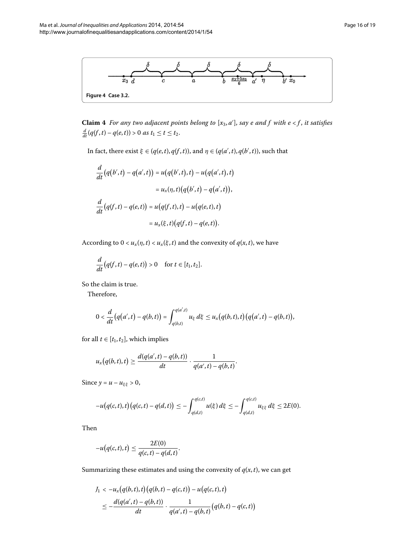<span id="page-15-0"></span>

**Claim 4** For any two adjacent points belong to  $[x_3, a']$ , say e and f with  $e < f$ , it satisfies  $\frac{d}{dt}(q(f, t) - q(e, t)) > 0$  as  $t_1 \le t \le t_2$ .

In fact, there exist  $\xi \in (q(e, t), q(f, t))$ , and  $\eta \in (q(a', t), q(b', t))$ , such that

$$
\frac{d}{dt}(q(b',t) - q(a',t)) = u(q(b',t),t) - u(q(a',t),t)
$$
\n
$$
= u_x(\eta, t)(q(b',t) - q(a',t)),
$$
\n
$$
\frac{d}{dt}(q(f,t) - q(e,t)) = u(q(f,t),t) - u(q(e,t),t)
$$
\n
$$
= u_x(\xi, t)(q(f,t) - q(e,t)).
$$

According to  $0 < u_x(\eta, t) < u_x(\xi, t)$  and the convexity of  $q(x, t)$ , we have

$$
\frac{d}{dt}\big(q(f,t)-q(e,t)\big)>0\quad\text{for }t\in[t_1,t_2].
$$

So the claim is true.

Therefore,

$$
0 < \frac{d}{dt} (q(a',t) - q(b,t)) = \int_{q(b,t)}^{q(a',t)} u_{\xi} d\xi \leq u_x (q(b,t),t) (q(a',t) - q(b,t)),
$$

for all  $t \in [t_1, t_2]$ , which implies

$$
u_x(q(b,t),t) \geq \frac{d(q(a',t) - q(b,t))}{dt} \cdot \frac{1}{q(a',t) - q(b,t)}.
$$

Since  $y = u - u_{\xi\xi} > 0$ ,

$$
-u(q(c,t),t)(q(c,t)-q(d,t))\leq -\int_{q(d,t)}^{q(c,t)}u(\xi)\,d\xi\leq -\int_{q(d,t)}^{q(c,t)}u_{\xi\xi}\,d\xi\leq 2E(0).
$$

<span id="page-15-1"></span>Then

$$
-u\big(q(c,t),t\big)\leq \frac{2E(0)}{q(c,t)-q(d,t)}.
$$

Summarizing these estimates and using the convexity of  $q(x, t)$ , we can get

$$
J_1 < -u_x(q(b,t),t)(q(b,t) - q(c,t)) - u(q(c,t),t)
$$
\n
$$
\leq -\frac{d(q(a',t) - q(b,t))}{dt} \cdot \frac{1}{q(a',t) - q(b,t)}(q(b,t) - q(c,t))
$$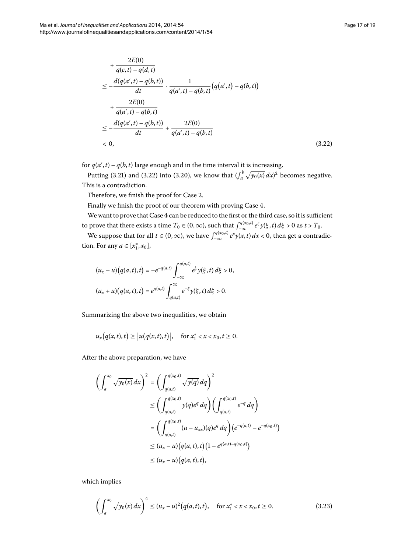$$
+\frac{2E(0)}{q(c,t)-q(d,t)}
$$
  
\n
$$
\leq -\frac{d(q(a',t)-q(b,t))}{dt} \cdot \frac{1}{q(a',t)-q(b,t)}(q(a',t)-q(b,t))
$$
  
\n
$$
+\frac{2E(0)}{q(a',t)-q(b,t)}
$$
  
\n
$$
\leq -\frac{d(q(a',t)-q(b,t))}{dt} + \frac{2E(0)}{q(a',t)-q(b,t)}
$$
  
\n
$$
< 0,
$$
 (3.22)

for  $q(a',t)$  –  $q(b,t)$  large enough and in the time interval it is increasing.

Putting (3[.](#page-15-1)21) and (3.22) into (3.20), we know that  $\int_a^b \sqrt{y_0(x)} dx$  becomes negative. This is a contradiction.

Therefore, we finish the proof for Case 2.

Finally we finish the proof of our theorem with proving Case 4.

We want to prove that Case 4 can be reduced to the first or the third case, so it is sufficient to prove that there exists a time  $T_0 \in (0,\infty)$ , such that  $\int_{-\infty}^{q(x_0,t)} e^{\xi} y(\xi,t) d\xi > 0$  as  $t > T_0$ .

We suppose that for all  $t \in (0, \infty)$ , we have  $\int_{-\infty}^{q(x_0, t)} e^x y(x, t) dx < 0$ , then get a contradiction. For any  $a \in [x_1^*, x_0]$ ,

$$
(u_x - u)(q(a, t), t) = -e^{-q(a,t)} \int_{-\infty}^{q(a,t)} e^{\xi} y(\xi, t) d\xi > 0,
$$
  

$$
(u_x + u)(q(a, t), t) = e^{q(a,t)} \int_{q(a,t)}^{\infty} e^{-\xi} y(\xi, t) d\xi > 0.
$$

Summarizing the above two inequalities, we obtain

$$
u_x(q(x,t),t) \ge |u(q(x,t),t)|
$$
, for  $x_1^* < x < x_0, t \ge 0$ .

After the above preparation, we have

$$
\left(\int_{a}^{x_{0}}\sqrt{y_{0}(x)}dx\right)^{2} = \left(\int_{q(a,t)}^{q(x_{0},t)}\sqrt{y(q)}dq\right)^{2}
$$
  
\n
$$
\leq \left(\int_{q(a,t)}^{q(x_{0},t)}y(q)e^{q} dq\right)\left(\int_{q(a,t)}^{q(x_{0},t)}e^{-q} dq\right)
$$
  
\n
$$
= \left(\int_{q(a,t)}^{q(x_{0},t)}(u-u_{xx})(q)e^{q} dq\right)\left(e^{-q(a,t)} - e^{-q(x_{0},t)}\right)
$$
  
\n
$$
\leq (u_{x}-u)\left(q(a,t),t\right)\left(1 - e^{q(a,t)-q(x_{0},t)}\right)
$$
  
\n
$$
\leq (u_{x}-u)\left(q(a,t),t\right),
$$

which implies

<span id="page-16-0"></span>
$$
\left(\int_{a}^{x_0} \sqrt{y_0(x)} dx\right)^4 \le (u_x - u)^2 (q(a, t), t), \quad \text{for } x_1^* < x < x_0, t \ge 0. \tag{3.23}
$$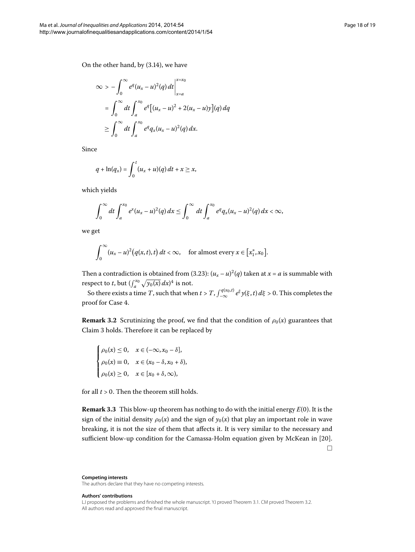On the other hand, by  $(3.14)$ , we have

$$
\infty > -\int_0^{\infty} e^q (u_x - u)^2(q) dt \Big|_{x=a}^{x=x_0}
$$
  
= 
$$
\int_0^{\infty} dt \int_a^{x_0} e^q [(u_x - u)^2 + 2(u_x - u)y](q) dq
$$
  

$$
\geq \int_0^{\infty} dt \int_a^{x_0} e^q q_x (u_x - u)^2(q) dx.
$$

Since

$$
q+\ln(q_x)=\int_0^t(u_x+u)(q)\,dt+x\geq x,
$$

which yields

$$
\int_0^{\infty} dt \int_a^{x_0} e^x (u_x - u)^2(q) dx \leq \int_0^{\infty} dt \int_a^{x_0} e^q q_x (u_x - u)^2(q) dx < \infty,
$$

we get

$$
\int_0^\infty (u_x - u)^2 (q(x, t), t) dt < \infty, \quad \text{for almost every } x \in [x_1^*, x_0].
$$

Then a contradiction is obtained from (3.23):  $(u_x - u)^2(q)$  taken at  $x = a$  is summable with respect to *t*, but  $(\int_{a}^{x_0} \sqrt{y_0(x)} dx)^4$  is not.

So there exists a time *T*, such that when  $t > T$ ,  $\int_{-\infty}^{q(x_0,t)} e^{\xi} y(\xi,t) d\xi > 0$ . This completes the proof for Case 4.

**Remark 3.2** Scrutinizing the proof, we find that the condition of  $\rho_0(x)$  guarantees that Claim 3 holds. Therefore it can be replaced by

$$
\begin{cases}\n\rho_0(x) \le 0, & x \in (-\infty, x_0 - \delta], \\
\rho_0(x) \equiv 0, & x \in (x_0 - \delta, x_0 + \delta), \\
\rho_0(x) \ge 0, & x \in [x_0 + \delta, \infty),\n\end{cases}
$$

for all  $t > 0$ . Then the theorem still holds.

**Remark 3.3** This blow-up theorem has nothing to do with the initial energy  $E(0)$ . It is the sign of the initial density  $\rho_0(x)$  and the sign of  $y_0(x)$  that play an important role in wave breaking, it is not the size of them that affects it. It is very similar to the necessary and sufficient blow-up condition for the Camassa-Holm equation given by McKean in [20].  $\Box$ 

**Competing interests** The authors declare that they have no competing interests.

**Authors' contributions**

LJ proposed the problems and finished the whole manuscript. YJ proved Theorem [3.1.](#page-3-1) CM proved Theorem [3.2](#page-7-1). All authors read and approved the final manuscript.